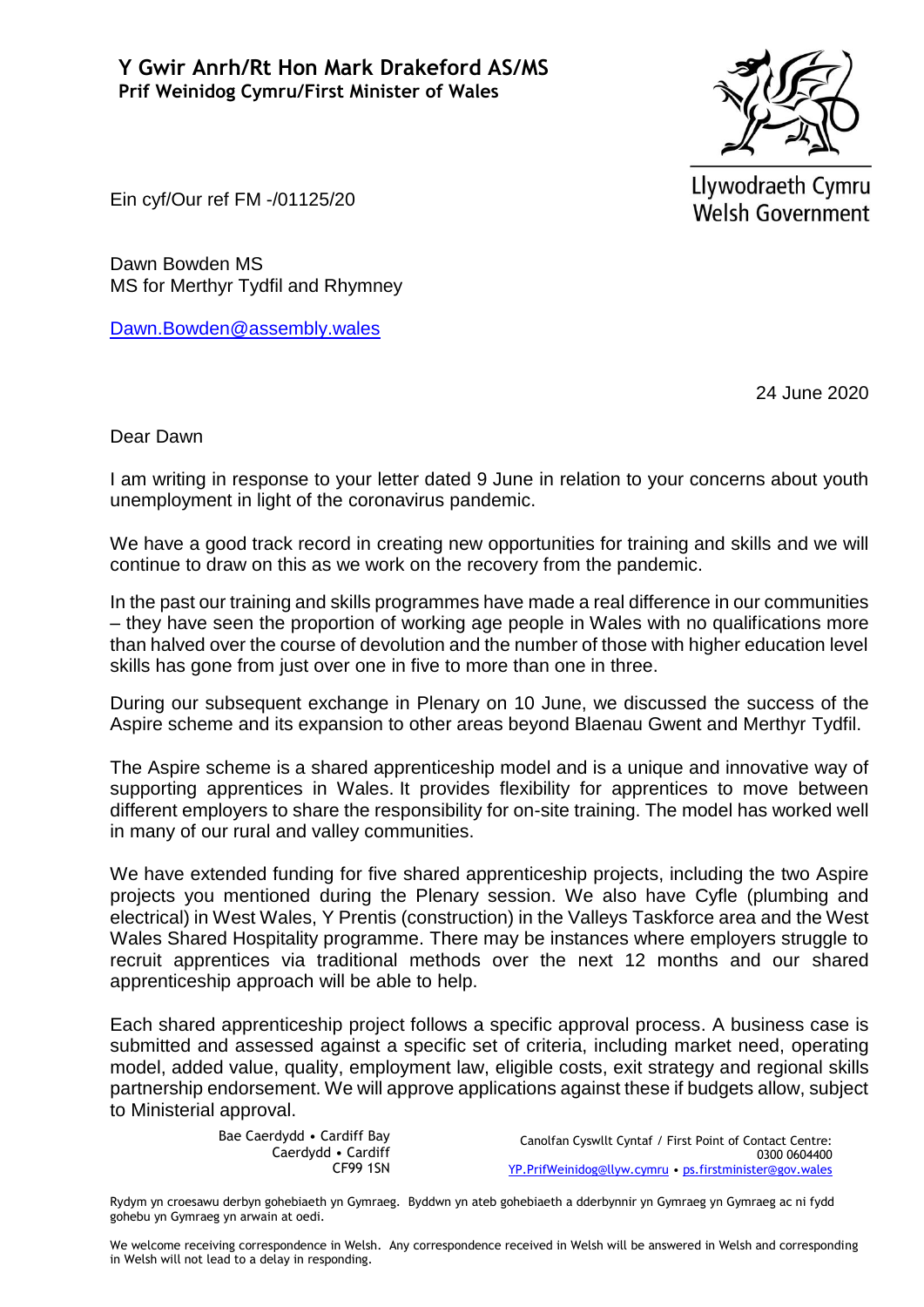

Llywodraeth Cymru Welsh Government

Ein cyf/Our ref FM -/01125/20

Dawn Bowden MS MS for Merthyr Tydfil and Rhymney

[Dawn.Bowden@assembly.wales](mailto:Dawn.Bowden@assembly.wales)

24 June 2020

Dear Dawn

I am writing in response to your letter dated 9 June in relation to your concerns about youth unemployment in light of the coronavirus pandemic.

We have a good track record in creating new opportunities for training and skills and we will continue to draw on this as we work on the recovery from the pandemic.

In the past our training and skills programmes have made a real difference in our communities – they have seen the proportion of working age people in Wales with no qualifications more than halved over the course of devolution and the number of those with higher education level skills has gone from just over one in five to more than one in three.

During our subsequent exchange in Plenary on 10 June, we discussed the success of the Aspire scheme and its expansion to other areas beyond Blaenau Gwent and Merthyr Tydfil.

The Aspire scheme is a shared apprenticeship model and is a unique and innovative way of supporting apprentices in Wales. It provides flexibility for apprentices to move between different employers to share the responsibility for on-site training. The model has worked well in many of our rural and valley communities.

We have extended funding for five shared apprenticeship projects, including the two Aspire projects you mentioned during the Plenary session. We also have Cyfle (plumbing and electrical) in West Wales, Y Prentis (construction) in the Valleys Taskforce area and the West Wales Shared Hospitality programme. There may be instances where employers struggle to recruit apprentices via traditional methods over the next 12 months and our shared apprenticeship approach will be able to help.

Each shared apprenticeship project follows a specific approval process. A business case is submitted and assessed against a specific set of criteria, including market need, operating model, added value, quality, employment law, eligible costs, exit strategy and regional skills partnership endorsement. We will approve applications against these if budgets allow, subject to Ministerial approval.

> Bae Caerdydd • Cardiff Bay Caerdydd • Cardiff CF99 1SN

Canolfan Cyswllt Cyntaf / First Point of Contact Centre: 0300 0604400 [YP.PrifWeinidog@llyw.cymru](mailto:YP.PrifWeinidog@llyw.cymru) • [ps.firstminister@gov.wales](mailto:ps.firstminister@gov.wales)

Rydym yn croesawu derbyn gohebiaeth yn Gymraeg. Byddwn yn ateb gohebiaeth a dderbynnir yn Gymraeg yn Gymraeg ac ni fydd gohebu yn Gymraeg yn arwain at oedi.

We welcome receiving correspondence in Welsh. Any correspondence received in Welsh will be answered in Welsh and corresponding in Welsh will not lead to a delay in responding.